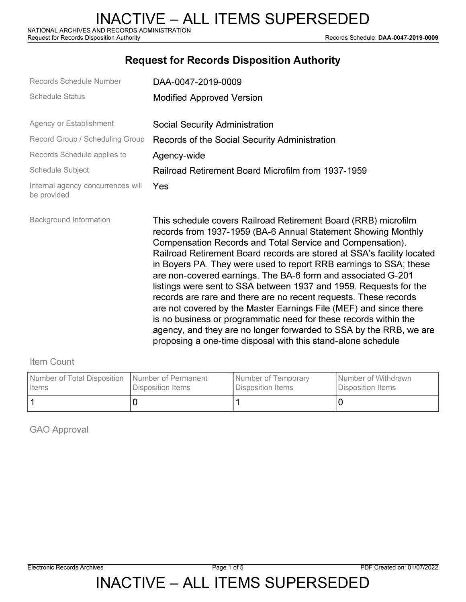## **Request for Records Disposition Authority**

| Records Schedule Number                          | DAA-0047-2019-0009                                                                                                                                                                                                                                                                                                                                                                                                                                                                                                                                                                                                                                                                                                                                                                                                                  |
|--------------------------------------------------|-------------------------------------------------------------------------------------------------------------------------------------------------------------------------------------------------------------------------------------------------------------------------------------------------------------------------------------------------------------------------------------------------------------------------------------------------------------------------------------------------------------------------------------------------------------------------------------------------------------------------------------------------------------------------------------------------------------------------------------------------------------------------------------------------------------------------------------|
| <b>Schedule Status</b>                           | <b>Modified Approved Version</b>                                                                                                                                                                                                                                                                                                                                                                                                                                                                                                                                                                                                                                                                                                                                                                                                    |
| Agency or Establishment                          | <b>Social Security Administration</b>                                                                                                                                                                                                                                                                                                                                                                                                                                                                                                                                                                                                                                                                                                                                                                                               |
| Record Group / Scheduling Group                  | Records of the Social Security Administration                                                                                                                                                                                                                                                                                                                                                                                                                                                                                                                                                                                                                                                                                                                                                                                       |
| Records Schedule applies to                      | Agency-wide                                                                                                                                                                                                                                                                                                                                                                                                                                                                                                                                                                                                                                                                                                                                                                                                                         |
| <b>Schedule Subject</b>                          | Railroad Retirement Board Microfilm from 1937-1959                                                                                                                                                                                                                                                                                                                                                                                                                                                                                                                                                                                                                                                                                                                                                                                  |
| Internal agency concurrences will<br>be provided | Yes                                                                                                                                                                                                                                                                                                                                                                                                                                                                                                                                                                                                                                                                                                                                                                                                                                 |
| <b>Background Information</b>                    | This schedule covers Railroad Retirement Board (RRB) microfilm<br>records from 1937-1959 (BA-6 Annual Statement Showing Monthly<br>Compensation Records and Total Service and Compensation).<br>Railroad Retirement Board records are stored at SSA's facility located<br>in Boyers PA. They were used to report RRB earnings to SSA; these<br>are non-covered earnings. The BA-6 form and associated G-201<br>listings were sent to SSA between 1937 and 1959. Requests for the<br>records are rare and there are no recent requests. These records<br>are not covered by the Master Earnings File (MEF) and since there<br>is no business or programmatic need for these records within the<br>agency, and they are no longer forwarded to SSA by the RRB, we are<br>proposing a one-time disposal with this stand-alone schedule |

#### Item Count

| Number of Total Disposition   Number of Permanent | Disposition Items | Number of Temporary | I Number of Withdrawn |
|---------------------------------------------------|-------------------|---------------------|-----------------------|
| <b>I</b> Items                                    |                   | Disposition Items   | Disposition Items     |
|                                                   |                   |                     |                       |

GAO Approval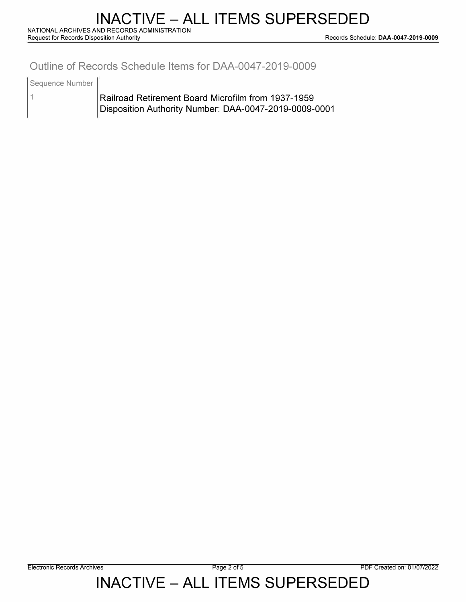### **Outline of Records Schedule Items for DAA-0047-2019-0009**

Sequence Number

1

Railroad Retirement Board Microfilm from 1937-1959 Disposition Authority Number: DAA-0047-2019-0009-0001

# INACTIVE – ALL ITEMS SUPERSEDED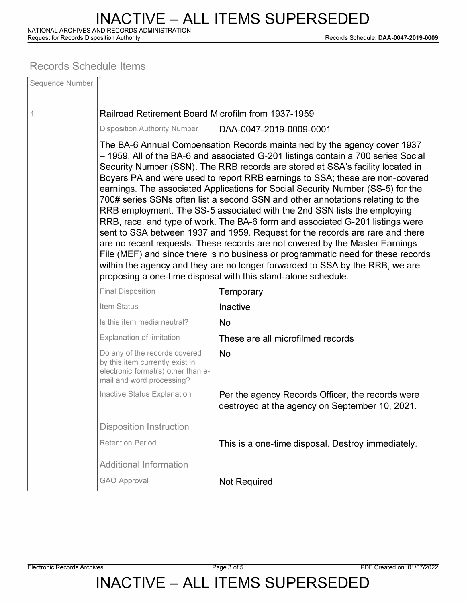**Request for Records Disposition Authority Records Schedule: DAA-0047-2019-0009** 

### **Records Schedule Items**

| Sequence Number |                                                                                                                                                                                                                                                                                                                                                                                                                                                                                                                                                                                                                                                                                                                                                                                                                                                                                                                                                                                                                                                                         |                                                                                                    |  |  |  |
|-----------------|-------------------------------------------------------------------------------------------------------------------------------------------------------------------------------------------------------------------------------------------------------------------------------------------------------------------------------------------------------------------------------------------------------------------------------------------------------------------------------------------------------------------------------------------------------------------------------------------------------------------------------------------------------------------------------------------------------------------------------------------------------------------------------------------------------------------------------------------------------------------------------------------------------------------------------------------------------------------------------------------------------------------------------------------------------------------------|----------------------------------------------------------------------------------------------------|--|--|--|
| 1               | Railroad Retirement Board Microfilm from 1937-1959                                                                                                                                                                                                                                                                                                                                                                                                                                                                                                                                                                                                                                                                                                                                                                                                                                                                                                                                                                                                                      |                                                                                                    |  |  |  |
|                 | <b>Disposition Authority Number</b><br>DAA-0047-2019-0009-0001                                                                                                                                                                                                                                                                                                                                                                                                                                                                                                                                                                                                                                                                                                                                                                                                                                                                                                                                                                                                          |                                                                                                    |  |  |  |
|                 | The BA-6 Annual Compensation Records maintained by the agency cover 1937<br>- 1959. All of the BA-6 and associated G-201 listings contain a 700 series Social<br>Security Number (SSN). The RRB records are stored at SSA's facility located in<br>Boyers PA and were used to report RRB earnings to SSA; these are non-covered<br>earnings. The associated Applications for Social Security Number (SS-5) for the<br>700# series SSNs often list a second SSN and other annotations relating to the<br>RRB employment. The SS-5 associated with the 2nd SSN lists the employing<br>RRB, race, and type of work. The BA-6 form and associated G-201 listings were<br>sent to SSA between 1937 and 1959. Request for the records are rare and there<br>are no recent requests. These records are not covered by the Master Earnings<br>File (MEF) and since there is no business or programmatic need for these records<br>within the agency and they are no longer forwarded to SSA by the RRB, we are<br>proposing a one-time disposal with this stand-alone schedule. |                                                                                                    |  |  |  |
|                 | <b>Final Disposition</b>                                                                                                                                                                                                                                                                                                                                                                                                                                                                                                                                                                                                                                                                                                                                                                                                                                                                                                                                                                                                                                                | Temporary                                                                                          |  |  |  |
|                 | Item Status                                                                                                                                                                                                                                                                                                                                                                                                                                                                                                                                                                                                                                                                                                                                                                                                                                                                                                                                                                                                                                                             | Inactive                                                                                           |  |  |  |
|                 | Is this item media neutral?                                                                                                                                                                                                                                                                                                                                                                                                                                                                                                                                                                                                                                                                                                                                                                                                                                                                                                                                                                                                                                             | <b>No</b>                                                                                          |  |  |  |
|                 | Explanation of limitation                                                                                                                                                                                                                                                                                                                                                                                                                                                                                                                                                                                                                                                                                                                                                                                                                                                                                                                                                                                                                                               | These are all microfilmed records                                                                  |  |  |  |
|                 | Do any of the records covered<br>by this item currently exist in<br>electronic format(s) other than e-<br>mail and word processing?                                                                                                                                                                                                                                                                                                                                                                                                                                                                                                                                                                                                                                                                                                                                                                                                                                                                                                                                     | <b>No</b>                                                                                          |  |  |  |
|                 | Inactive Status Explanation                                                                                                                                                                                                                                                                                                                                                                                                                                                                                                                                                                                                                                                                                                                                                                                                                                                                                                                                                                                                                                             | Per the agency Records Officer, the records were<br>destroyed at the agency on September 10, 2021. |  |  |  |
|                 | <b>Disposition Instruction</b>                                                                                                                                                                                                                                                                                                                                                                                                                                                                                                                                                                                                                                                                                                                                                                                                                                                                                                                                                                                                                                          |                                                                                                    |  |  |  |
|                 | <b>Retention Period</b>                                                                                                                                                                                                                                                                                                                                                                                                                                                                                                                                                                                                                                                                                                                                                                                                                                                                                                                                                                                                                                                 | This is a one-time disposal. Destroy immediately.                                                  |  |  |  |
|                 | <b>Additional Information</b>                                                                                                                                                                                                                                                                                                                                                                                                                                                                                                                                                                                                                                                                                                                                                                                                                                                                                                                                                                                                                                           |                                                                                                    |  |  |  |
|                 | <b>GAO Approval</b>                                                                                                                                                                                                                                                                                                                                                                                                                                                                                                                                                                                                                                                                                                                                                                                                                                                                                                                                                                                                                                                     | <b>Not Required</b>                                                                                |  |  |  |